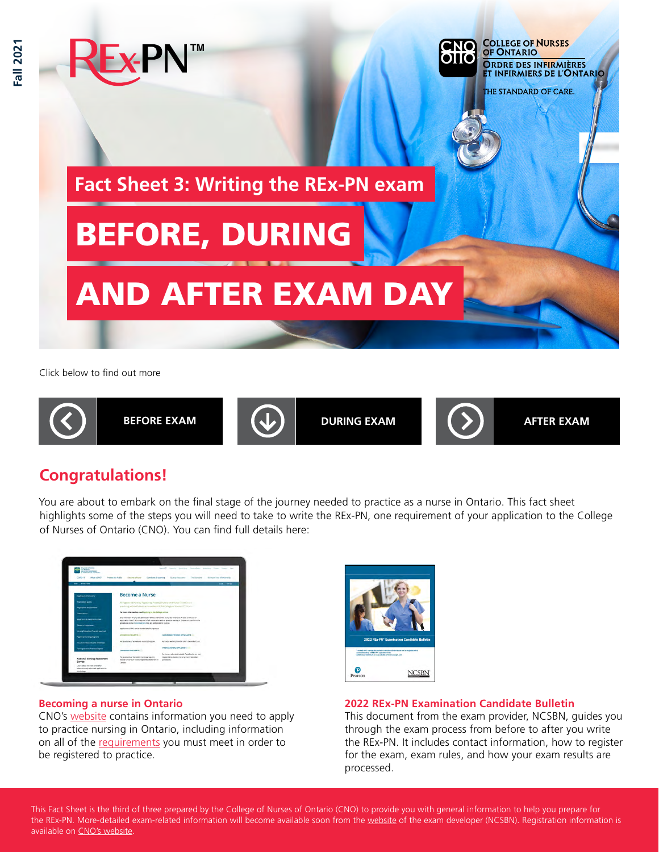

Click below to find out more



# **Congratulations!**

You are about to embark on the final stage of the journey needed to practice as a nurse in Ontario. This fact sheet highlights some of the steps you will need to take to write the REx-PN, one requirement of your application to the College of Nurses of Ontario (CNO). You can find full details here:



### **Becoming a nurse in Ontario**

CNO's [website](https://www.cno.org/en/become-a-nurse/) contains information you need to apply to practice nursing in Ontario, including information on all of the [requirements](https://www.cno.org/en/become-a-nurse/new-applicants1/ontario/registration-requirements-for-rns-and-rpns/) you must meet in order to be registered to practice.



## **2022 REx-PN Examination Candidate Bulletin**

This document from the exam provider, NCSBN, guides you through the exam process from before to after you write the REx-PN. It includes contact information, how to register for the exam, exam rules, and how your exam results are processed.

This Fact Sheet is the third of three prepared by the College of Nurses of Ontario (CNO) to provide you with general information to help you prepare for the REx-PN. More-detailed exam-related information will become available soon from the [website](https://www.ncsbn.org/rex-pn.htm) of the exam developer (NCSBN). Registration information is available on [CNO's website](https://www.cno.org/en/become-a-nurse/).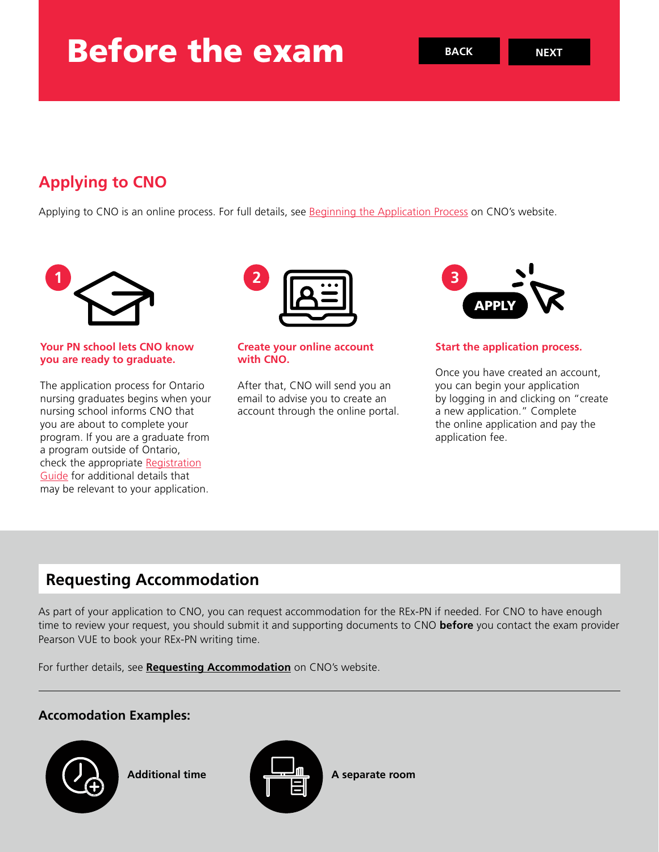# **Applying to CNO**

Applying to CNO is an online process. For full details, see [Beginning the Application Process](https://www.cno.org/en/become-a-nurse/new-applicants1/ontario/beginning-the-application-process/#:~:text=The%20application%20process%20for%20most,account%20through%20the%20online%20portal.) on CNO's website.



## **Your PN school lets CNO know you are ready to graduate.**

The application process for Ontario nursing graduates begins when your nursing school informs CNO that you are about to complete your program. If you are a graduate from a program outside of Ontario, check the appropriate [Registration](https://www.cno.org/en/become-a-nurse/new-applicants1/ontario/registration-requirements-for-rns-and-rpns/) [Guide](https://www.cno.org/en/become-a-nurse/new-applicants1/ontario/registration-requirements-for-rns-and-rpns/) for additional details that may be relevant to your application.



#### **Create your online account with CNO.**

After that, CNO will send you an email to advise you to create an account through the online portal.



## **Start the application process.**

Once you have created an account, you can begin your application by logging in and clicking on "create a new application." Complete the online application and pay the application fee.

## **Requesting Accommodation**

As part of your application to CNO, you can request accommodation for the REx-PN if needed. For CNO to have enough time to review your request, you should submit it and supporting documents to CNO **before** you contact the exam provider Pearson VUE to book your REx-PN writing time.

For further details, see **[Requesting Accommodation](https://www.cno.org/en/become-a-nurse/entry-to-practice-examinations/accommodation/)** on CNO's website.

## **Accomodation Examples:**



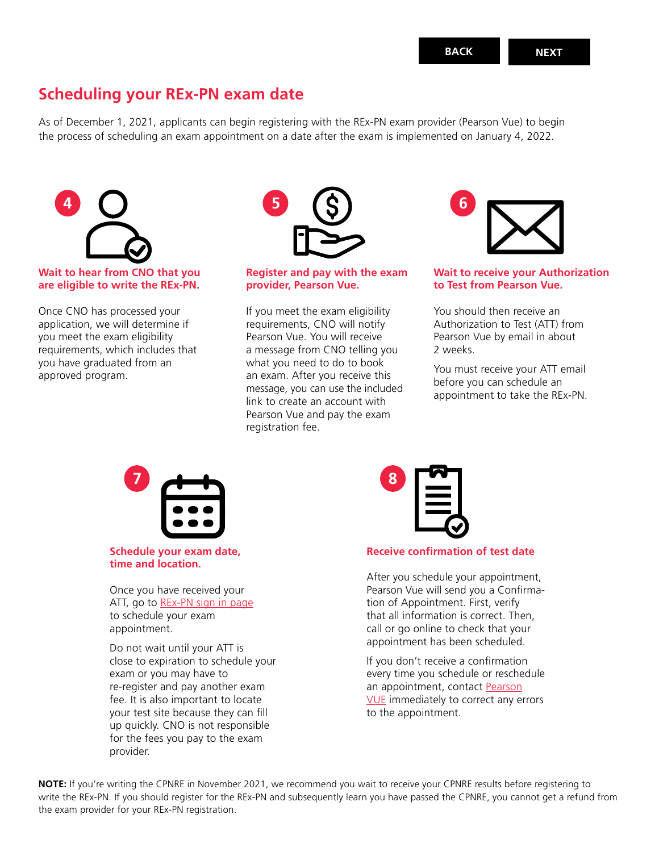## **Scheduling your REx-PN exam date**

As of December 1, 2021, applicants can begin registering with the REx-PN exam provider (Pearson Vue) to begin the process of scheduling an exam appointment on a date after the exam is implemented on January 4, 2022.



### **Wait to hear from CNO that you are eligible to write the REx-PN.**

Once CNO has processed your application, we will determine if you meet the exam eligibility requirements, which includes that you have graduated from an approved program.



#### **Register and pay with the exam provider, Pearson Vue.**

If you meet the exam eligibility requirements, CNO will notify Pearson Vue. You will receive a message from CNO telling you what you need to do to book an exam. After you receive this message, you can use the included link to create an account with Pearson Vue and pay the exam registration fee.



#### **Wait to receive your Authorization to Test from Pearson Vue.**

You should then receive an Authorization to Test (ATT) from Pearson Vue by email in about 2 weeks.

You must receive your ATT email before you can schedule an appointment to take the REx-PN.



**Schedule your exam date, time and location.**

Once you have received your ATT, go to [REx-PN sign in page](https://rexpn.com/register.htm) to schedule your exam appointment.

Do not wait until your ATT is close to expiration to schedule your exam or you may have to re-register and pay another exam fee. It is also important to locate your test site because they can fill up quickly. CNO is not responsible for the fees you pay to the exam provider.



#### **Receive confirmation of test date**

After you schedule your appointment, Pearson Vue will send you a Confirmation of Appointment. First, verify that all information is correct. Then, call or go online to check that your appointment has been scheduled.

If you don't receive a confirmation every time you schedule or reschedule an appointment, contact [Pearson](https://home.pearsonvue.com/Contact-Us.aspx) [VUE](https://home.pearsonvue.com/Contact-Us.aspx) immediately to correct any errors to the appointment.

**NOTE:** If you're writing the CPNRE in November 2021, we recommend you wait to receive your CPNRE results before registering to write the REx-PN. If you should register for the REx-PN and subsequently learn you have passed the CPNRE, you cannot get a refund from the exam provider for your REx-PN registration.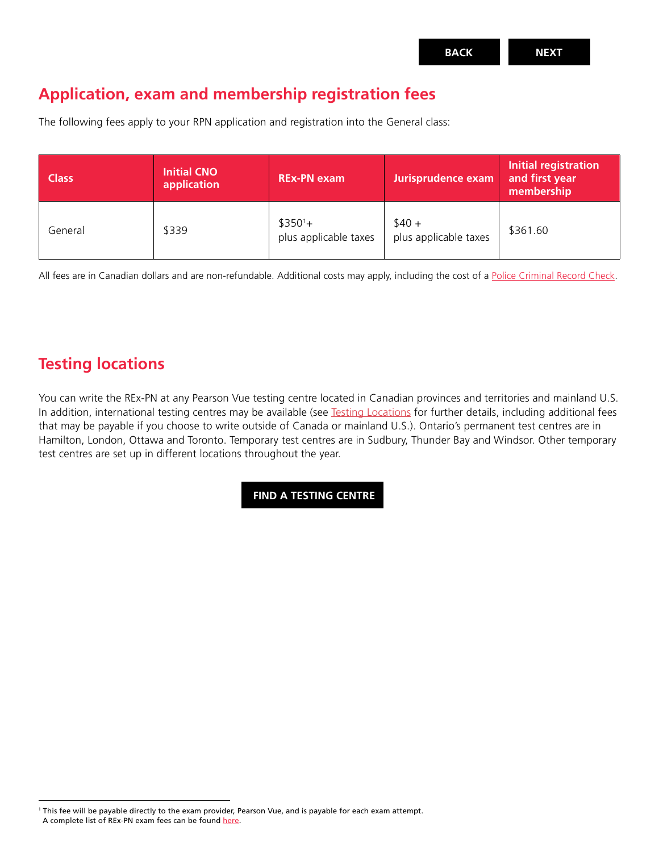## **Application, exam and membership registration fees**

The following fees apply to your RPN application and registration into the General class:

| <b>Class</b> | <b>Initial CNO</b><br>application | <b>REx-PN exam</b>                 | Jurisprudence exam               | <b>Initial registration</b><br>and first year<br>membership |
|--------------|-----------------------------------|------------------------------------|----------------------------------|-------------------------------------------------------------|
| General      | \$339                             | $$350^1+$<br>plus applicable taxes | $$40 +$<br>plus applicable taxes | \$361.60                                                    |

All fees are in Canadian dollars and are non-refundable. Additional costs may apply, including the cost of a [Police Criminal Record Check](https://www.cno.org/en/become-a-nurse/registration-requirements/past-offences-and-findings--health-and-conduct/past-offences-and-findings/police-criminal-record-check/).

## **Testing locations**

You can write the REx-PN at any Pearson Vue testing centre located in Canadian provinces and territories and mainland U.S. In addition, international testing centres may be available (see [Testing Locations](https://www.ncsbn.org/testing-locations.htm) for further details, including additional fees that may be payable if you choose to write outside of Canada or mainland U.S.). Ontario's permanent test centres are in Hamilton, London, Ottawa and Toronto. Temporary test centres are in Sudbury, Thunder Bay and Windsor. Other temporary test centres are set up in different locations throughout the year.

**[FIND A TESTING CENTRE](https://www.ncsbn.org/testing-locations.htm)**

<sup>1</sup> This fee will be payable directly to the exam provider, Pearson Vue, and is payable for each exam attempt. A complete list of REx-PN exam fees can be found [here](https://www.rexpn.com/fees-payment.htm).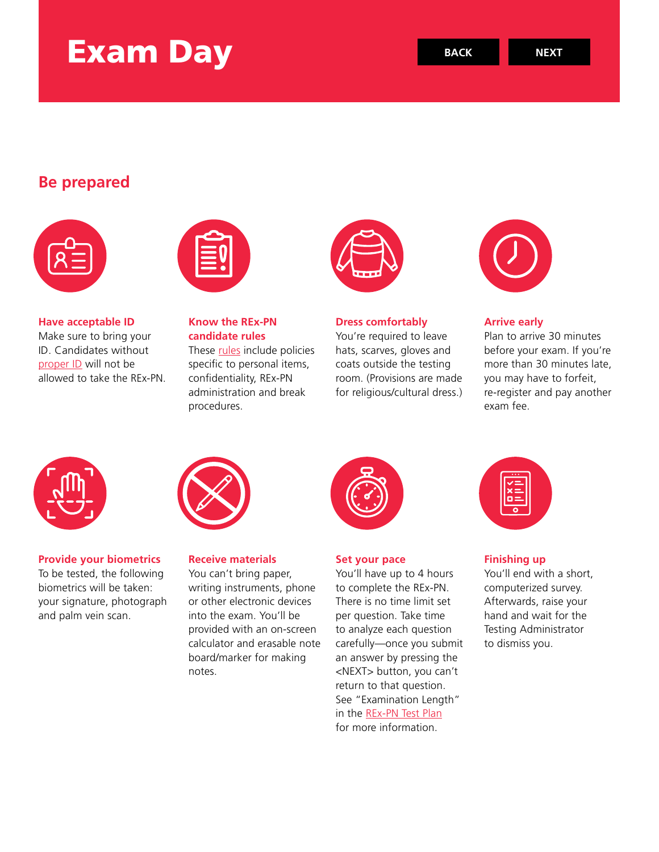# Exam Day

## **Be prepared**



**Have acceptable ID** Make sure to bring your ID. Candidates without [proper ID](https://rexpn.com/acceptable-id.htm) will not be allowed to take the REx-PN.



**Know the REx-PN candidate rules** These [rules](https://rexpn.com/rexpn-rules.htm) include policies

specific to personal items, confidentiality, REx-PN administration and break procedures.



**Dress comfortably** You're required to leave

hats, scarves, gloves and coats outside the testing room. (Provisions are made for religious/cultural dress.)



**Arrive early**

Plan to arrive 30 minutes before your exam. If you're more than 30 minutes late, you may have to forfeit, re-register and pay another exam fee.



**Provide your biometrics** To be tested, the following biometrics will be taken: your signature, photograph and palm vein scan.



**Receive materials**

You can't bring paper, writing instruments, phone or other electronic devices into the exam. You'll be provided with an on-screen calculator and erasable note board/marker for making notes.



#### **Set your pace**

You'll have up to 4 hours to complete the REx-PN. There is no time limit set per question. Take time to analyze each question carefully—once you submit an answer by pressing the <NEXT> button, you can't return to that question. See "Examination Length" in the [REx-PN Test Plan](https://www.ncsbn.org/2022_RExPN_FINAL.pdf) for more information.



## **Finishing up**

You'll end with a short, computerized survey. Afterwards, raise your hand and wait for the Testing Administrator to dismiss you.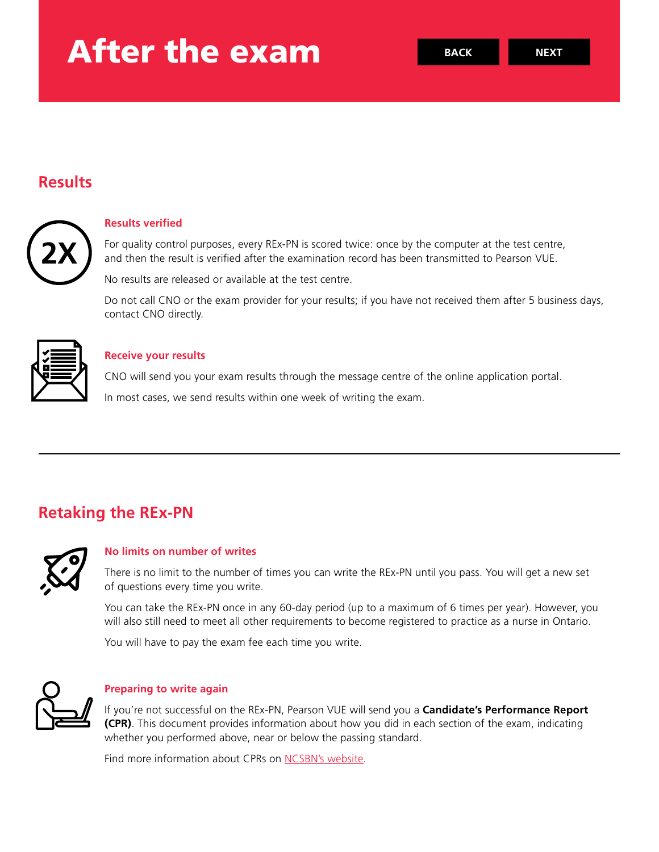# After the exam

## **Results**



#### **Results verified**

For quality control purposes, every REx-PN is scored twice: once by the computer at the test centre, and then the result is verified after the examination record has been transmitted to Pearson VUE.

No results are released or available at the test centre.

Do not call CNO or the exam provider for your results; if you have not received them after 5 business days, contact CNO directly.



### **Receive your results**

CNO will send you your exam results through the message centre of the online application portal.

In most cases, we send results within one week of writing the exam.

## **Retaking the REx-PN**



### **No limits on number of writes**

There is no limit to the number of times you can write the REx-PN until you pass. You will get a new set of questions every time you write.

You can take the REx-PN once in any 60-day period (up to a maximum of 6 times per year). However, you will also still need to meet all other requirements to become registered to practice as a nurse in Ontario.

You will have to pay the exam fee each time you write.



### **Preparing to write again**

If you're not successful on the REx-PN, Pearson VUE will send you a **Candidate's Performance Report (CPR)**. This document provides information about how you did in each section of the exam, indicating whether you performed above, near or below the passing standard.

Find more information about CPRs on [NCSBN's website.](https://www.ncsbn.org/1223.htm)